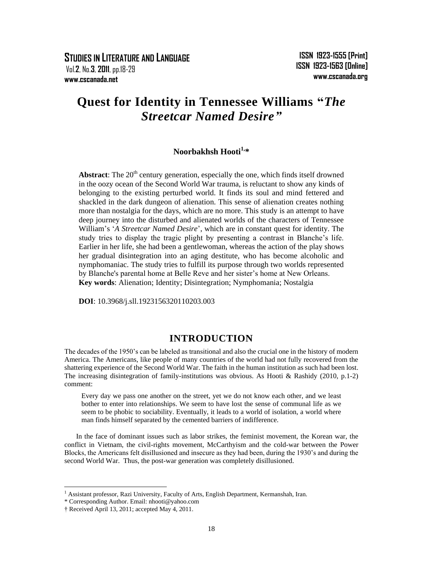**STUDIES IN LITERATURE AND LANGUAGE** Vol.**2**, No.**3**, **2011**, pp.18-29 **www.cscanada.net**

# **Quest for Identity in Tennessee Williams "***The Streetcar Named Desire"*

# **Noorbakhsh Hooti1, \***

Abstract: The 20<sup>th</sup> century generation, especially the one, which finds itself drowned in the oozy ocean of the Second World War trauma, is reluctant to show any kinds of belonging to the existing perturbed world. It finds its soul and mind fettered and shackled in the dark dungeon of alienation. This sense of alienation creates nothing more than nostalgia for the days, which are no more. This study is an attempt to have deep journey into the disturbed and alienated worlds of the characters of Tennessee William"s "*A Streetcar Named Desire*", which are in constant quest for identity. The study tries to display the tragic plight by presenting a contrast in Blanche"s life. Earlier in her life, she had been a gentlewoman, whereas the action of the play shows her gradual disintegration into an aging destitute, who has become alcoholic and nymphomaniac. The study tries to fulfill its purpose through two worlds represented by Blanche's parental home at Belle Reve and her sister"s home at New Orleans. **Key words**: Alienation; Identity; Disintegration; Nymphomania; Nostalgia

**DOI**: 10.3968/j.sll.1923156320110203.003

## **INTRODUCTION**

The decades of the 1950"s can be labeled as transitional and also the crucial one in the history of modern America. The Americans, like people of many countries of the world had not fully recovered from the shattering experience of the Second World War. The faith in the human institution as such had been lost. The increasing disintegration of family-institutions was obvious. As Hooti & Rashidy (2010, p.1-2) comment:

Every day we pass one another on the street, yet we do not know each other, and we least bother to enter into relationships. We seem to have lost the sense of communal life as we seem to be phobic to sociability. Eventually, it leads to a world of isolation, a world where man finds himself separated by the cemented barriers of indifference.

In the face of dominant issues such as labor strikes, the feminist movement, the Korean war, the conflict in Vietnam, the civil-rights movement, McCarthyism and the cold-war between the Power Blocks, the Americans felt disillusioned and insecure as they had been, during the 1930"s and during the second World War. Thus, the post-war generation was completely disillusioned.

1

<sup>&</sup>lt;sup>1</sup> Assistant professor, Razi University, Faculty of Arts, English Department, Kermanshah, Iran.

<sup>\*</sup> Corresponding Author. Email: nhooti@yahoo.com

<sup>†</sup> Received April 13, 2011; accepted May 4, 2011.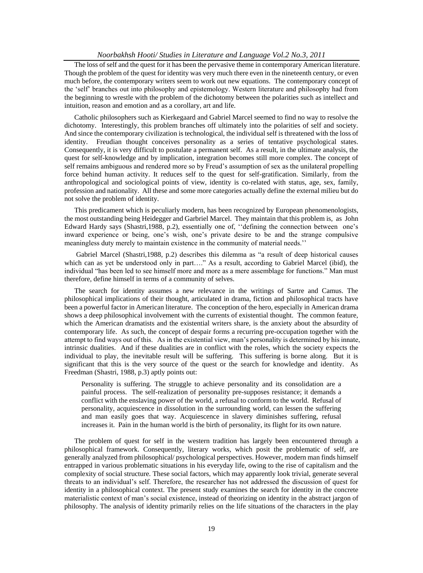The loss of self and the quest for it has been the pervasive theme in contemporary American literature. Though the problem of the quest for identity was very much there even in the nineteenth century, or even much before, the contemporary writers seem to work out new equations. The contemporary concept of the "self" branches out into philosophy and epistemology. Western literature and philosophy had from the beginning to wrestle with the problem of the dichotomy between the polarities such as intellect and intuition, reason and emotion and as a corollary, art and life.

Catholic philosophers such as Kierkegaard and Gabriel Marcel seemed to find no way to resolve the dichotomy. Interestingly, this problem branches off ultimately into the polarities of self and society. And since the contemporary civilization is technological, the individual self is threatened with the loss of identity. Freudian thought conceives personality as a series of tentative psychological states. Consequently, it is very difficult to postulate a permanent self. As a result, in the ultimate analysis, the quest for self-knowledge and by implication, integration becomes still more complex. The concept of self remains ambiguous and rendered more so by Freud"s assumption of sex as the unilateral propelling force behind human activity. It reduces self to the quest for self-gratification. Similarly, from the anthropological and sociological points of view, identity is co-related with status, age, sex, family, profession and nationality. All these and some more categories actually define the external milieu but do not solve the problem of identity.

This predicament which is peculiarly modern, has been recognized by European phenomenologists, the most outstanding being Heidegger and Garbriel Marcel. They maintain that this problem is, as John Edward Hardy says (Shastri, 1988, p.2), essentially one of, "defining the connection between one's inward experience or being, one"s wish, one"s private desire to be and the strange compulsive meaningless duty merely to maintain existence in the community of material needs."

Gabriel Marcel (Shastri,1988, p.2) describes this dilemma as "a result of deep historical causes which can as yet be understood only in part…." As a result, according to Gabriel Marcel (ibid), the individual "has been led to see himself more and more as a mere assemblage for functions." Man must therefore, define himself in terms of a community of selves.

The search for identity assumes a new relevance in the writings of Sartre and Camus. The philosophical implications of their thought, articulated in drama, fiction and philosophical tracts have been a powerful factor in American literature. The conception of the hero, especially in American drama shows a deep philosophical involvement with the currents of existential thought. The common feature, which the American dramatists and the existential writers share, is the anxiety about the absurdity of contemporary life. As such, the concept of despair forms a recurring pre-occupation together with the attempt to find ways out of this. As in the existential view, man"s personality is determined by his innate, intrinsic dualities. And if these dualities are in conflict with the roles, which the society expects the individual to play, the inevitable result will be suffering. This suffering is borne along. But it is significant that this is the very source of the quest or the search for knowledge and identity. As Freedman (Shastri, 1988, p.3) aptly points out:

Personality is suffering. The struggle to achieve personality and its consolidation are a painful process. The self-realization of personality pre-supposes resistance; it demands a conflict with the enslaving power of the world, a refusal to conform to the world. Refusal of personality, acquiescence in dissolution in the surrounding world, can lessen the suffering and man easily goes that way. Acquiescence in slavery diminishes suffering, refusal increases it. Pain in the human world is the birth of personality, its flight for its own nature.

The problem of quest for self in the western tradition has largely been encountered through a philosophical framework. Consequently, literary works, which posit the problematic of self, are generally analyzed from philosophical/ psychological perspectives. However, modern man finds himself entrapped in various problematic situations in his everyday life, owing to the rise of capitalism and the complexity of social structure. These social factors, which may apparently look trivial, generate several threats to an individual"s self. Therefore, the researcher has not addressed the discussion of quest for identity in a philosophical context. The present study examines the search for identity in the concrete materialistic context of man"s social existence, instead of theorizing on identity in the abstract jargon of philosophy. The analysis of identity primarily relies on the life situations of the characters in the play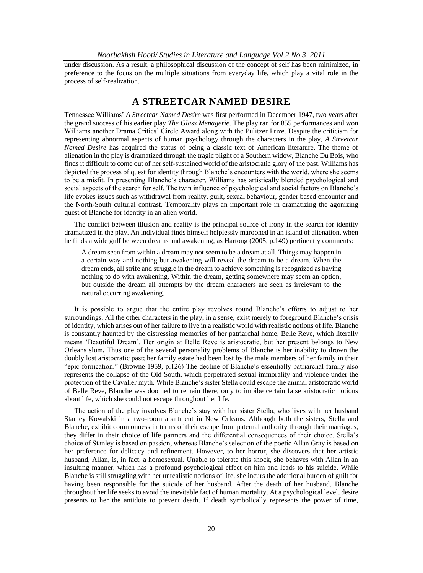under discussion. As a result, a philosophical discussion of the concept of self has been minimized, in preference to the focus on the multiple situations from everyday life, which play a vital role in the process of self-realization.

### **A STREETCAR NAMED DESIRE**

Tennessee Williams" *A Streetcar Named Desire* was first performed in December 1947, two years after the grand success of his earlier play *The Glass Menagerie*. The play ran for 855 performances and won Williams another Drama Critics' Circle Award along with the Pulitzer Prize. Despite the criticism for representing abnormal aspects of human psychology through the characters in the play, *A Streetcar Named Desire* has acquired the status of being a classic text of American literature. The theme of alienation in the play is dramatized through the tragic plight of a Southern widow, Blanche Du Bois, who finds it difficult to come out of her self-sustained world of the aristocratic glory of the past. Williams has depicted the process of quest for identity through Blanche"s encounters with the world, where she seems to be a misfit. In presenting Blanche"s character, Williams has artistically blended psychological and social aspects of the search for self. The twin influence of psychological and social factors on Blanche's life evokes issues such as withdrawal from reality, guilt, sexual behaviour, gender based encounter and the North-South cultural contrast. Temporality plays an important role in dramatizing the agonizing quest of Blanche for identity in an alien world.

The conflict between illusion and reality is the principal source of irony in the search for identity dramatized in the play. An individual finds himself helplessly marooned in an island of alienation, when he finds a wide gulf between dreams and awakening, as Hartong (2005, p.149) pertinently comments:

A dream seen from within a dream may not seem to be a dream at all. Things may happen in a certain way and nothing but awakening will reveal the dream to be a dream. When the dream ends, all strife and struggle in the dream to achieve something is recognized as having nothing to do with awakening. Within the dream, getting somewhere may seem an option, but outside the dream all attempts by the dream characters are seen as irrelevant to the natural occurring awakening.

It is possible to argue that the entire play revolves round Blanche"s efforts to adjust to her surroundings. All the other characters in the play, in a sense, exist merely to foreground Blanche's crisis of identity, which arises out of her failure to live in a realistic world with realistic notions of life. Blanche is constantly haunted by the distressing memories of her patriarchal home, Belle Reve, which literally means "Beautiful Dream". Her origin at Belle Reve is aristocratic, but her present belongs to New Orleans slum. Thus one of the several personality problems of Blanche is her inability to drown the doubly lost aristocratic past; her family estate had been lost by the male members of her family in their "epic fornication." (Browne 1959, p.126) The decline of Blanche"s essentially patriarchal family also represents the collapse of the Old South, which perpetrated sexual immorality and violence under the protection of the Cavalier myth. While Blanche"s sister Stella could escape the animal aristocratic world of Belle Reve, Blanche was doomed to remain there, only to imbibe certain false aristocratic notions about life, which she could not escape throughout her life.

The action of the play involves Blanche"s stay with her sister Stella, who lives with her husband Stanley Kowalski in a two-room apartment in New Orleans. Although both the sisters, Stella and Blanche, exhibit commonness in terms of their escape from paternal authority through their marriages, they differ in their choice of life partners and the differential consequences of their choice. Stella"s choice of Stanley is based on passion, whereas Blanche"s selection of the poetic Allan Gray is based on her preference for delicacy and refinement. However, to her horror, she discovers that her artistic husband, Allan, is, in fact, a homosexual. Unable to tolerate this shock, she behaves with Allan in an insulting manner, which has a profound psychological effect on him and leads to his suicide. While Blanche is still struggling with her unrealistic notions of life, she incurs the additional burden of guilt for having been responsible for the suicide of her husband. After the death of her husband, Blanche throughout her life seeks to avoid the inevitable fact of human mortality. At a psychological level, desire presents to her the antidote to prevent death. If death symbolically represents the power of time,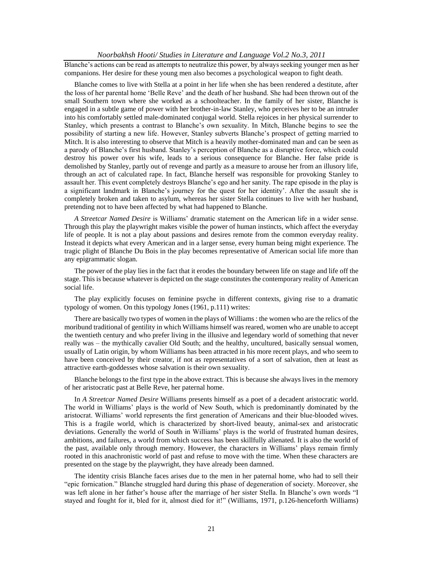Blanche"s actions can be read as attempts to neutralize this power, by always seeking younger men as her companions. Her desire for these young men also becomes a psychological weapon to fight death.

Blanche comes to live with Stella at a point in her life when she has been rendered a destitute, after the loss of her parental home "Belle Reve" and the death of her husband. She had been thrown out of the small Southern town where she worked as a schoolteacher. In the family of her sister, Blanche is engaged in a subtle game of power with her brother-in-law Stanley, who perceives her to be an intruder into his comfortably settled male-dominated conjugal world. Stella rejoices in her physical surrender to Stanley, which presents a contrast to Blanche"s own sexuality. In Mitch, Blanche begins to see the possibility of starting a new life. However, Stanley subverts Blanche"s prospect of getting married to Mitch. It is also interesting to observe that Mitch is a heavily mother-dominated man and can be seen as a parody of Blanche"s first husband. Stanley"s perception of Blanche as a disruptive force, which could destroy his power over his wife, leads to a serious consequence for Blanche. Her false pride is demolished by Stanley, partly out of revenge and partly as a measure to arouse her from an illusory life, through an act of calculated rape. In fact, Blanche herself was responsible for provoking Stanley to assault her. This event completely destroys Blanche"s ego and her sanity. The rape episode in the play is a significant landmark in Blanche"s journey for the quest for her identity". After the assault she is completely broken and taken to asylum, whereas her sister Stella continues to live with her husband, pretending not to have been affected by what had happened to Blanche.

*A Streetcar Named Desire* is Williams" dramatic statement on the American life in a wider sense. Through this play the playwright makes visible the power of human instincts, which affect the everyday life of people. It is not a play about passions and desires remote from the common everyday reality. Instead it depicts what every American and in a larger sense, every human being might experience. The tragic plight of Blanche Du Bois in the play becomes representative of American social life more than any epigrammatic slogan.

The power of the play lies in the fact that it erodes the boundary between life on stage and life off the stage. This is because whatever is depicted on the stage constitutes the contemporary reality of American social life.

The play explicitly focuses on feminine psyche in different contexts, giving rise to a dramatic typology of women. On this typology Jones (1961, p.111) writes:

There are basically two types of women in the plays of Williams : the women who are the relics of the moribund traditional of gentility in which Williams himself was reared, women who are unable to accept the twentieth century and who prefer living in the illusive and legendary world of something that never really was – the mythically cavalier Old South; and the healthy, uncultured, basically sensual women, usually of Latin origin, by whom Williams has been attracted in his more recent plays, and who seem to have been conceived by their creator, if not as representatives of a sort of salvation, then at least as attractive earth-goddesses whose salvation is their own sexuality.

Blanche belongs to the first type in the above extract. This is because she always lives in the memory of her aristocratic past at Belle Reve, her paternal home.

In *A Streetcar Named Desire* Williams presents himself as a poet of a decadent aristocratic world. The world in Williams" plays is the world of New South, which is predominantly dominated by the aristocrat. Williams" world represents the first generation of Americans and their blue-blooded wives. This is a fragile world, which is characterized by short-lived beauty, animal-sex and aristocratic deviations. Generally the world of South in Williams' plays is the world of frustrated human desires, ambitions, and failures, a world from which success has been skillfully alienated. It is also the world of the past, available only through memory. However, the characters in Williams" plays remain firmly rooted in this anachronistic world of past and refuse to move with the time. When these characters are presented on the stage by the playwright, they have already been damned.

The identity crisis Blanche faces arises due to the men in her paternal home, who had to sell their "epic fornication." Blanche struggled hard during this phase of degeneration of society. Moreover, she was left alone in her father"s house after the marriage of her sister Stella. In Blanche"s own words "I stayed and fought for it, bled for it, almost died for it!" (Williams, 1971, p.126-henceforth Williams)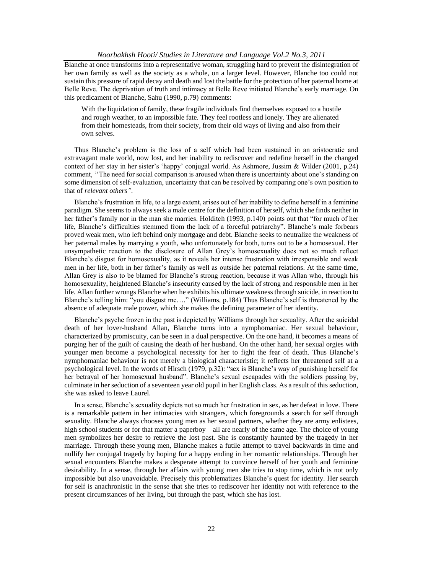Blanche at once transforms into a representative woman, struggling hard to prevent the disintegration of her own family as well as the society as a whole, on a larger level. However, Blanche too could not sustain this pressure of rapid decay and death and lost the battle for the protection of her paternal home at Belle Reve. The deprivation of truth and intimacy at Belle Reve initiated Blanche"s early marriage. On this predicament of Blanche, Sahu (1990, p.79) comments:

With the liquidation of family, these fragile individuals find themselves exposed to a hostile and rough weather, to an impossible fate. They feel rootless and lonely. They are alienated from their homesteads, from their society, from their old ways of living and also from their own selves.

Thus Blanche"s problem is the loss of a self which had been sustained in an aristocratic and extravagant male world, now lost, and her inability to rediscover and redefine herself in the changed context of her stay in her sister"s "happy" conjugal world. As Ashmore, Jussim & Wilder (2001, p.24) comment, "The need for social comparison is aroused when there is uncertainty about one's standing on some dimension of self-evaluation, uncertainty that can be resolved by comparing one"s own position to that of *relevant others".*

Blanche's frustration in life, to a large extent, arises out of her inability to define herself in a feminine paradigm. She seems to always seek a male centre for the definition of herself, which she finds neither in her father's family nor in the man she marries. Holditch (1993, p.140) points out that "for much of her life, Blanche's difficulties stemmed from the lack of a forceful patriarchy". Blanche's male forbears proved weak men, who left behind only mortgage and debt. Blanche seeks to neutralize the weakness of her paternal males by marrying a youth, who unfortunately for both, turns out to be a homosexual. Her unsympathetic reaction to the disclosure of Allan Grey"s homosexuality does not so much reflect Blanche's disgust for homosexuality, as it reveals her intense frustration with irresponsible and weak men in her life, both in her father"s family as well as outside her paternal relations. At the same time, Allan Grey is also to be blamed for Blanche"s strong reaction, because it was Allan who, through his homosexuality, heightened Blanche"s insecurity caused by the lack of strong and responsible men in her life. Allan further wrongs Blanche when he exhibits his ultimate weakness through suicide, in reaction to Blanche"s telling him: "you disgust me…." (Williams, p.184) Thus Blanche"s self is threatened by the absence of adequate male power, which she makes the defining parameter of her identity.

Blanche's psyche frozen in the past is depicted by Williams through her sexuality. After the suicidal death of her lover-husband Allan, Blanche turns into a nymphomaniac. Her sexual behaviour, characterized by promiscuity, can be seen in a dual perspective. On the one hand, it becomes a means of purging her of the guilt of causing the death of her husband. On the other hand, her sexual orgies with younger men become a psychological necessity for her to fight the fear of death. Thus Blanche"s nymphomaniac behaviour is not merely a biological characteristic; it reflects her threatened self at a psychological level. In the words of Hirsch (1979, p.32): "sex is Blanche"s way of punishing herself for her betrayal of her homosexual husband". Blanche's sexual escapades with the soldiers passing by, culminate in her seduction of a seventeen year old pupil in her English class. As a result of this seduction, she was asked to leave Laurel.

In a sense, Blanche"s sexuality depicts not so much her frustration in sex, as her defeat in love. There is a remarkable pattern in her intimacies with strangers, which foregrounds a search for self through sexuality. Blanche always chooses young men as her sexual partners, whether they are army enlistees, high school students or for that matter a paperboy – all are nearly of the same age. The choice of young men symbolizes her desire to retrieve the lost past. She is constantly haunted by the tragedy in her marriage. Through these young men, Blanche makes a futile attempt to travel backwards in time and nullify her conjugal tragedy by hoping for a happy ending in her romantic relationships. Through her sexual encounters Blanche makes a desperate attempt to convince herself of her youth and feminine desirability. In a sense, through her affairs with young men she tries to stop time, which is not only impossible but also unavoidable. Precisely this problematizes Blanche"s quest for identity. Her search for self is anachronistic in the sense that she tries to rediscover her identity not with reference to the present circumstances of her living, but through the past, which she has lost.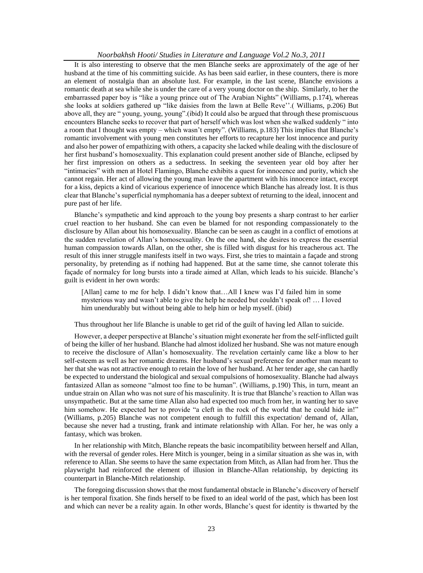It is also interesting to observe that the men Blanche seeks are approximately of the age of her husband at the time of his committing suicide. As has been said earlier, in these counters, there is more an element of nostalgia than an absolute lust. For example, in the last scene, Blanche envisions a romantic death at sea while she is under the care of a very young doctor on the ship. Similarly, to her the embarrassed paper boy is "like a young prince out of The Arabian Nights" (Williams, p.174), whereas she looks at soldiers gathered up "like daisies from the lawn at Belle Reve"".( Williams, p.206) But above all, they are " young, young, young".(ibid) It could also be argued that through these promiscuous encounters Blanche seeks to recover that part of herself which was lost when she walked suddenly " into a room that I thought was empty – which wasn"t empty". (Williams, p.183) This implies that Blanche"s romantic involvement with young men constitutes her efforts to recapture her lost innocence and purity and also her power of empathizing with others, a capacity she lacked while dealing with the disclosure of her first husband"s homosexuality. This explanation could present another side of Blanche, eclipsed by her first impression on others as a seductress. In seeking the seventeen year old boy after her "intimacies" with men at Hotel Flamingo, Blanche exhibits a quest for innocence and purity, which she cannot regain. Her act of allowing the young man leave the apartment with his innocence intact, except for a kiss, depicts a kind of vicarious experience of innocence which Blanche has already lost. It is thus clear that Blanche"s superficial nymphomania has a deeper subtext of returning to the ideal, innocent and pure past of her life.

Blanche"s sympathetic and kind approach to the young boy presents a sharp contrast to her earlier cruel reaction to her husband. She can even be blamed for not responding compassionately to the disclosure by Allan about his homosexuality. Blanche can be seen as caught in a conflict of emotions at the sudden revelation of Allan"s homosexuality. On the one hand, she desires to express the essential human compassion towards Allan, on the other, she is filled with disgust for his treacherous act. The result of this inner struggle manifests itself in two ways. First, she tries to maintain a façade and strong personality, by pretending as if nothing had happened. But at the same time, she cannot tolerate this façade of normalcy for long bursts into a tirade aimed at Allan, which leads to his suicide. Blanche"s guilt is evident in her own words:

[Allan] came to me for help. I didn't know that...All I knew was I'd failed him in some mysterious way and wasn"t able to give the help he needed but couldn"t speak of! … I loved him unendurably but without being able to help him or help myself. (ibid)

Thus throughout her life Blanche is unable to get rid of the guilt of having led Allan to suicide.

However, a deeper perspective at Blanche"s situation might exonerate her from the self-inflicted guilt of being the killer of her husband. Blanche had almost idolized her husband. She was not mature enough to receive the disclosure of Allan"s homosexuality. The revelation certainly came like a blow to her self-esteem as well as her romantic dreams. Her husband"s sexual preference for another man meant to her that she was not attractive enough to retain the love of her husband. At her tender age, she can hardly be expected to understand the biological and sexual compulsions of homosexuality. Blanche had always fantasized Allan as someone "almost too fine to be human". (Williams, p.190) This, in turn, meant an undue strain on Allan who was not sure of his masculinity. It is true that Blanche"s reaction to Allan was unsympathetic. But at the same time Allan also had expected too much from her, in wanting her to save him somehow. He expected her to provide "a cleft in the rock of the world that he could hide in!" (Williams, p.205) Blanche was not competent enough to fulfill this expectation/ demand of, Allan, because she never had a trusting, frank and intimate relationship with Allan. For her, he was only a fantasy, which was broken.

In her relationship with Mitch, Blanche repeats the basic incompatibility between herself and Allan, with the reversal of gender roles. Here Mitch is younger, being in a similar situation as she was in, with reference to Allan. She seems to have the same expectation from Mitch, as Allan had from her. Thus the playwright had reinforced the element of illusion in Blanche-Allan relationship, by depicting its counterpart in Blanche-Mitch relationship.

The foregoing discussion shows that the most fundamental obstacle in Blanche"s discovery of herself is her temporal fixation. She finds herself to be fixed to an ideal world of the past, which has been lost and which can never be a reality again. In other words, Blanche"s quest for identity is thwarted by the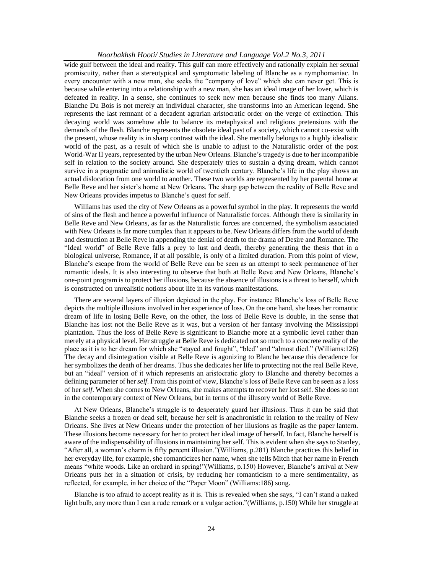wide gulf between the ideal and reality. This gulf can more effectively and rationally explain her sexual promiscuity, rather than a stereotypical and symptomatic labeling of Blanche as a nymphomaniac. In every encounter with a new man, she seeks the "company of love" which she can never get. This is because while entering into a relationship with a new man, she has an ideal image of her lover, which is defeated in reality. In a sense, she continues to seek new men because she finds too many Allans. Blanche Du Bois is not merely an individual character, she transforms into an American legend. She represents the last remnant of a decadent agrarian aristocratic order on the verge of extinction. This decaying world was somehow able to balance its metaphysical and religious pretensions with the demands of the flesh. Blanche represents the obsolete ideal past of a society, which cannot co-exist with the present, whose reality is in sharp contrast with the ideal. She mentally belongs to a highly idealistic world of the past, as a result of which she is unable to adjust to the Naturalistic order of the post World-War II years, represented by the urban New Orleans. Blanche"s tragedy is due to her incompatible self in relation to the society around. She desperately tries to sustain a dying dream, which cannot survive in a pragmatic and animalistic world of twentieth century. Blanche's life in the play shows an actual dislocation from one world to another. These two worlds are represented by her parental home at Belle Reve and her sister"s home at New Orleans. The sharp gap between the reality of Belle Reve and New Orleans provides impetus to Blanche"s quest for self.

Williams has used the city of New Orleans as a powerful symbol in the play. It represents the world of sins of the flesh and hence a powerful influence of Naturalistic forces. Although there is similarity in Belle Reve and New Orleans, as far as the Naturalistic forces are concerned, the symbolism associated with New Orleans is far more complex than it appears to be. New Orleans differs from the world of death and destruction at Belle Reve in appending the denial of death to the drama of Desire and Romance. The "Ideal world" of Belle Reve falls a prey to lust and death, thereby generating the thesis that in a biological universe, Romance, if at all possible, is only of a limited duration. From this point of view, Blanche"s escape from the world of Belle Reve can be seen as an attempt to seek permanence of her romantic ideals. It is also interesting to observe that both at Belle Reve and New Orleans, Blanche"s one-point program is to protect her illusions, because the absence of illusions is a threat to herself, which is constructed on unrealistic notions about life in its various manifestations.

There are several layers of illusion depicted in the play. For instance Blanche"s loss of Belle Reve depicts the multiple illusions involved in her experience of loss. On the one hand, she loses her romantic dream of life in losing Belle Reve, on the other, the loss of Belle Reve is double, in the sense that Blanche has lost not the Belle Reve as it was, but a version of her fantasy involving the Mississippi plantation. Thus the loss of Belle Reve is significant to Blanche more at a symbolic level rather than merely at a physical level. Her struggle at Belle Reve is dedicated not so much to a concrete reality of the place as it is to her dream for which she "stayed and fought", "bled" and "almost died." (Williams:126) The decay and disintegration visible at Belle Reve is agonizing to Blanche because this decadence for her symbolizes the death of her dreams. Thus she dedicates her life to protecting not the real Belle Reve, but an "ideal" version of it which represents an aristocratic glory to Blanche and thereby becomes a defining parameter of her *self*. From this point of view, Blanche"s loss of Belle Reve can be seen as a loss of her *self*. When she comes to New Orleans, she makes attempts to recover her lost self. She does so not in the contemporary context of New Orleans, but in terms of the illusory world of Belle Reve.

At New Orleans, Blanche"s struggle is to desperately guard her illusions. Thus it can be said that Blanche seeks a frozen or dead self, because her self is anachronistic in relation to the reality of New Orleans. She lives at New Orleans under the protection of her illusions as fragile as the paper lantern. These illusions become necessary for her to protect her ideal image of herself. In fact, Blanche herself is aware of the indispensability of illusions in maintaining her self. This is evident when she says to Stanley, "After all, a woman"s charm is fifty percent illusion."(Williams, p.281) Blanche practices this belief in her everyday life, for example, she romanticizes her name, when she tells Mitch that her name in French means "white woods. Like an orchard in spring!"(Williams, p.150) However, Blanche"s arrival at New Orleans puts her in a situation of crisis, by reducing her romanticism to a mere sentimentality, as reflected, for example, in her choice of the "Paper Moon" (Williams:186) song.

Blanche is too afraid to accept reality as it is. This is revealed when she says, "I can"t stand a naked light bulb, any more than I can a rude remark or a vulgar action."(Williams, p.150) While her struggle at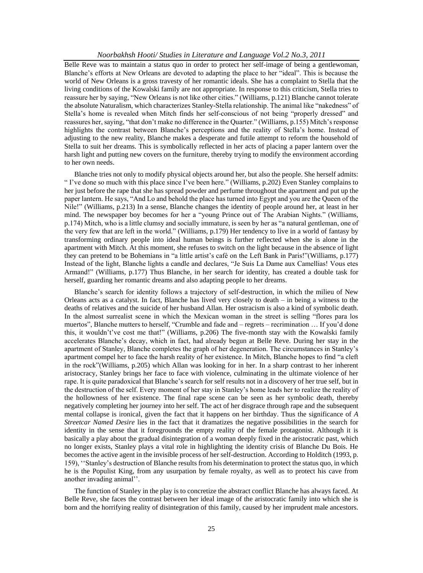Belle Reve was to maintain a status quo in order to protect her self-image of being a gentlewoman, Blanche"s efforts at New Orleans are devoted to adapting the place to her "ideal". This is because the world of New Orleans is a gross travesty of her romantic ideals. She has a complaint to Stella that the living conditions of the Kowalski family are not appropriate. In response to this criticism, Stella tries to reassure her by saying, "New Orleans is not like other cities." (Williams, p.121) Blanche cannot tolerate the absolute Naturalism, which characterizes Stanley-Stella relationship. The animal like "nakedness" of Stella"s home is revealed when Mitch finds her self-conscious of not being "properly dressed" and reassures her, saying, "that don"t make no difference in the Quarter." (Williams, p.155) Mitch"s response highlights the contrast between Blanche's perceptions and the reality of Stella's home. Instead of adjusting to the new reality, Blanche makes a desperate and futile attempt to reform the household of Stella to suit her dreams. This is symbolically reflected in her acts of placing a paper lantern over the harsh light and putting new covers on the furniture, thereby trying to modify the environment according to her own needs.

Blanche tries not only to modify physical objects around her, but also the people. She herself admits: " I"ve done so much with this place since I"ve been here." (Williams, p.202) Even Stanley complains to her just before the rape that she has spread powder and perfume throughout the apartment and put up the paper lantern. He says, "And Lo and behold the place has turned into Egypt and you are the Queen of the Nile!" (Williams, p.213) In a sense, Blanche changes the identity of people around her, at least in her mind. The newspaper boy becomes for her a "young Prince out of The Arabian Nights." (Williams, p.174) Mitch, who is a little clumsy and socially immature, is seen by her as "a natural gentleman, one of the very few that are left in the world." (Williams, p.179) Her tendency to live in a world of fantasy by transforming ordinary people into ideal human beings is further reflected when she is alone in the apartment with Mitch. At this moment, she refuses to switch on the light because in the absence of light they can pretend to be Bohemians in "a little artist"s café on the Left Bank in Paris!"(Williams, p.177) Instead of the light, Blanche lights a candle and declares, "Je Suis La Dame aux Camellias! Vous etes Armand!" (Williams, p.177) Thus Blanche, in her search for identity, has created a double task for herself, guarding her romantic dreams and also adapting people to her dreams.

Blanche's search for identity follows a trajectory of self-destruction, in which the milieu of New Orleans acts as a catalyst. In fact, Blanche has lived very closely to death – in being a witness to the deaths of relatives and the suicide of her husband Allan. Her ostracism is also a kind of symbolic death. In the almost surrealist scene in which the Mexican woman in the street is selling "flores para los muertos", Blanche mutters to herself, "Crumble and fade and – regrets – recrimination … If you"d done this, it wouldn"t"ve cost me that!" (Williams, p.206) The five-month stay with the Kowalski family accelerates Blanche"s decay, which in fact, had already begun at Belle Reve. During her stay in the apartment of Stanley, Blanche completes the graph of her degeneration. The circumstances in Stanley"s apartment compel her to face the harsh reality of her existence. In Mitch, Blanche hopes to find "a cleft in the rock"(Williams, p.205) which Allan was looking for in her. In a sharp contrast to her inherent aristocracy, Stanley brings her face to face with violence, culminating in the ultimate violence of her rape. It is quite paradoxical that Blanche"s search for self results not in a discovery of her true self, but in the destruction of the self. Every moment of her stay in Stanley"s home leads her to realize the reality of the hollowness of her existence. The final rape scene can be seen as her symbolic death, thereby negatively completing her journey into her self. The act of her disgrace through rape and the subsequent mental collapse is ironical, given the fact that it happens on her birthday. Thus the significance of *A Streetcar Named Desire* lies in the fact that it dramatizes the negative possibilities in the search for identity in the sense that it foregrounds the empty reality of the female protagonist. Although it is basically a play about the gradual disintegration of a woman deeply fixed in the aristocratic past, which no longer exists, Stanley plays a vital role in highlighting the identity crisis of Blanche Du Bois. He becomes the active agent in the invisible process of her self-destruction. According to Holditch (1993, p. 159), ""Stanley"s destruction of Blanche results from his determination to protect the status quo, in which he is the Populist King, from any usurpation by female royalty, as well as to protect his cave from another invading animal".

The function of Stanley in the play is to concretize the abstract conflict Blanche has always faced. At Belle Reve, she faces the contrast between her ideal image of the aristocratic family into which she is born and the horrifying reality of disintegration of this family, caused by her imprudent male ancestors.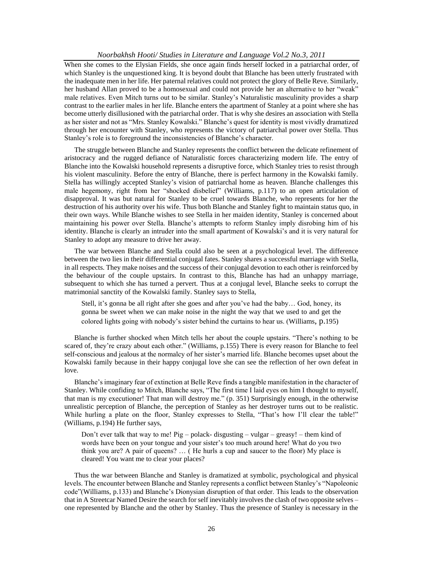When she comes to the Elysian Fields, she once again finds herself locked in a patriarchal order, of which Stanley is the unquestioned king. It is beyond doubt that Blanche has been utterly frustrated with the inadequate men in her life. Her paternal relatives could not protect the glory of Belle Reve. Similarly, her husband Allan proved to be a homosexual and could not provide her an alternative to her "weak" male relatives. Even Mitch turns out to be similar. Stanley"s Naturalistic masculinity provides a sharp contrast to the earlier males in her life. Blanche enters the apartment of Stanley at a point where she has become utterly disillusioned with the patriarchal order. That is why she desires an association with Stella as her sister and not as "Mrs. Stanley Kowalski." Blanche"s quest for identity is most vividly dramatized through her encounter with Stanley, who represents the victory of patriarchal power over Stella. Thus Stanley's role is to foreground the inconsistencies of Blanche's character.

The struggle between Blanche and Stanley represents the conflict between the delicate refinement of aristocracy and the rugged defiance of Naturalistic forces characterizing modern life. The entry of Blanche into the Kowalski household represents a disruptive force, which Stanley tries to resist through his violent masculinity. Before the entry of Blanche, there is perfect harmony in the Kowalski family. Stella has willingly accepted Stanley"s vision of patriarchal home as heaven. Blanche challenges this male hegemony, right from her "shocked disbelief" (Williams, p.117) to an open articulation of disapproval. It was but natural for Stanley to be cruel towards Blanche, who represents for her the destruction of his authority over his wife. Thus both Blanche and Stanley fight to maintain status quo, in their own ways. While Blanche wishes to see Stella in her maiden identity, Stanley is concerned about maintaining his power over Stella. Blanche"s attempts to reform Stanley imply disrobing him of his identity. Blanche is clearly an intruder into the small apartment of Kowalski's and it is very natural for Stanley to adopt any measure to drive her away.

The war between Blanche and Stella could also be seen at a psychological level. The difference between the two lies in their differential conjugal fates. Stanley shares a successful marriage with Stella, in all respects. They make noises and the success of their conjugal devotion to each other is reinforced by the behaviour of the couple upstairs. In contrast to this, Blanche has had an unhappy marriage, subsequent to which she has turned a pervert. Thus at a conjugal level, Blanche seeks to corrupt the matrimonial sanctity of the Kowalski family. Stanley says to Stella,

Stell, it's gonna be all right after she goes and after you've had the baby... God, honey, its gonna be sweet when we can make noise in the night the way that we used to and get the colored lights going with nobody"s sister behind the curtains to hear us. (Williams, p.195)

Blanche is further shocked when Mitch tells her about the couple upstairs. "There"s nothing to be scared of, they're crazy about each other." (Williams, p.155) There is every reason for Blanche to feel self-conscious and jealous at the normalcy of her sister"s married life. Blanche becomes upset about the Kowalski family because in their happy conjugal love she can see the reflection of her own defeat in love.

Blanche"s imaginary fear of extinction at Belle Reve finds a tangible manifestation in the character of Stanley. While confiding to Mitch, Blanche says, "The first time I laid eyes on him I thought to myself, that man is my executioner! That man will destroy me." (p. 351) Surprisingly enough, in the otherwise unrealistic perception of Blanche, the perception of Stanley as her destroyer turns out to be realistic. While hurling a plate on the floor, Stanley expresses to Stella, "That's how I'll clear the table!" (Williams, p.194) He further says,

Don"t ever talk that way to me! Pig – polack- disgusting – vulgar – greasy! – them kind of words have been on your tongue and your sister's too much around here! What do you two think you are? A pair of queens? … ( He hurls a cup and saucer to the floor) My place is cleared! You want me to clear your places?

Thus the war between Blanche and Stanley is dramatized at symbolic, psychological and physical levels. The encounter between Blanche and Stanley represents a conflict between Stanley"s "Napoleonic code"(Williams, p.133) and Blanche"s Dionysian disruption of that order. This leads to the observation that in A Streetcar Named Desire the search for self inevitably involves the clash of two opposite selves – one represented by Blanche and the other by Stanley. Thus the presence of Stanley is necessary in the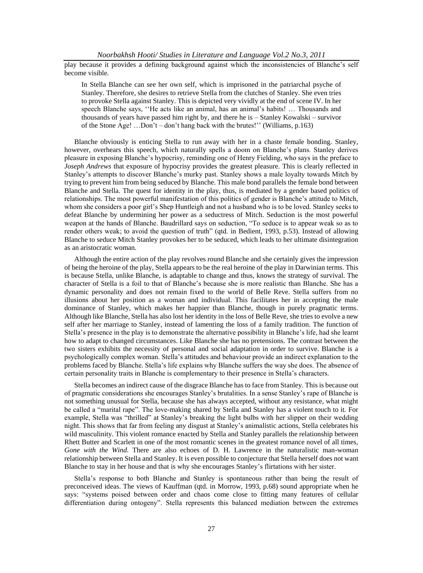play because it provides a defining background against which the inconsistencies of Blanche"s self become visible.

In Stella Blanche can see her own self, which is imprisoned in the patriarchal psyche of Stanley. Therefore, she desires to retrieve Stella from the clutches of Stanley. She even tries to provoke Stella against Stanley. This is depicted very vividly at the end of scene IV. In her speech Blanche says, ""He acts like an animal, has an animal"s habits! … Thousands and thousands of years have passed him right by, and there he is – Stanley Kowalski – survivor of the Stone Age! ...Don't – don't hang back with the brutes!" (Williams, p.163)

Blanche obviously is enticing Stella to run away with her in a chaste female bonding. Stanley, however, overhears this speech, which naturally spells a doom on Blanche"s plans. Stanley derives pleasure in exposing Blanche"s hypocrisy, reminding one of Henry Fielding, who says in the preface to *Joseph Andrews* that exposure of hypocrisy provides the greatest pleasure. This is clearly reflected in Stanley"s attempts to discover Blanche"s murky past. Stanley shows a male loyalty towards Mitch by trying to prevent him from being seduced by Blanche. This male bond parallels the female bond between Blanche and Stella. The quest for identity in the play, thus, is mediated by a gender based politics of relationships. The most powerful manifestation of this politics of gender is Blanche"s attitude to Mitch, whom she considers a poor girl"s Shep Huntleigh and not a husband who is to be loved. Stanley seeks to defeat Blanche by undermining her power as a seductress of Mitch. Seduction is the most powerful weapon at the hands of Blanche. Baudrillard says on seduction, "To seduce is to appear weak so as to render others weak; to avoid the question of truth" (qtd. in Bedient, 1993, p.53). Instead of allowing Blanche to seduce Mitch Stanley provokes her to be seduced, which leads to her ultimate disintegration as an aristocratic woman.

Although the entire action of the play revolves round Blanche and she certainly gives the impression of being the heroine of the play, Stella appears to be the real heroine of the play in Darwinian terms. This is because Stella, unlike Blanche, is adaptable to change and thus, knows the strategy of survival. The character of Stella is a foil to that of Blanche"s because she is more realistic than Blanche. She has a dynamic personality and does not remain fixed to the world of Belle Reve. Stella suffers from no illusions about her position as a woman and individual. This facilitates her in accepting the male dominance of Stanley, which makes her happier than Blanche, though in purely pragmatic terms. Although like Blanche, Stella has also lost her identity in the loss of Belle Reve, she tries to evolve a new self after her marriage to Stanley, instead of lamenting the loss of a family tradition. The function of Stella"s presence in the play is to demonstrate the alternative possibility in Blanche"s life, had she learnt how to adapt to changed circumstances. Like Blanche she has no pretensions. The contrast between the two sisters exhibits the necessity of personal and social adaptation in order to survive. Blanche is a psychologically complex woman. Stella"s attitudes and behaviour provide an indirect explanation to the problems faced by Blanche. Stella"s life explains why Blanche suffers the way she does. The absence of certain personality traits in Blanche is complementary to their presence in Stella"s characters.

Stella becomes an indirect cause of the disgrace Blanche has to face from Stanley. This is because out of pragmatic considerations she encourages Stanley"s brutalities. In a sense Stanley"s rape of Blanche is not something unusual for Stella, because she has always accepted, without any resistance, what might be called a "marital rape". The love-making shared by Stella and Stanley has a violent touch to it. For example, Stella was "thrilled" at Stanley"s breaking the light bulbs with her slipper on their wedding night. This shows that far from feeling any disgust at Stanley"s animalistic actions, Stella celebrates his wild masculinity. This violent romance enacted by Stella and Stanley parallels the relationship between Rhett Butter and Scarlett in one of the most romantic scenes in the greatest romance novel of all times, *Gone with the Wind*. There are also echoes of D. H. Lawrence in the naturalistic man-woman relationship between Stella and Stanley. It is even possible to conjecture that Stella herself does not want Blanche to stay in her house and that is why she encourages Stanley"s flirtations with her sister.

Stella"s response to both Blanche and Stanley is spontaneous rather than being the result of preconceived ideas. The views of Kauffman (qtd. in Morrow, 1993, p.68) sound appropriate when he says: "systems poised between order and chaos come close to fitting many features of cellular differentiation during ontogeny". Stella represents this balanced mediation between the extremes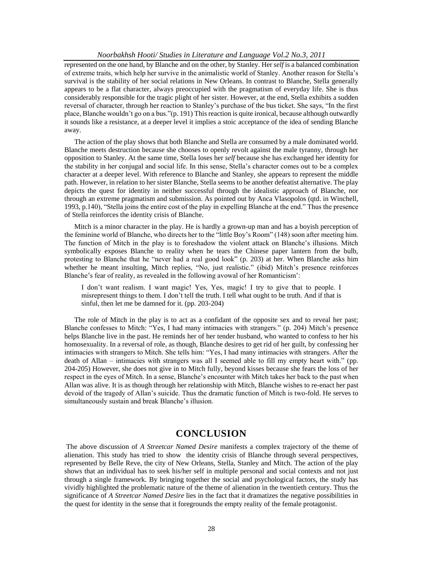represented on the one hand, by Blanche and on the other, by Stanley. Her *self* is a balanced combination of extreme traits, which help her survive in the animalistic world of Stanley. Another reason for Stella"s survival is the stability of her social relations in New Orleans. In contrast to Blanche, Stella generally appears to be a flat character, always preoccupied with the pragmatism of everyday life. She is thus considerably responsible for the tragic plight of her sister. However, at the end, Stella exhibits a sudden reversal of character, through her reaction to Stanley"s purchase of the bus ticket. She says, "In the first place, Blanche wouldn"t go on a bus."(p. 191) This reaction is quite ironical, because although outwardly it sounds like a resistance, at a deeper level it implies a stoic acceptance of the idea of sending Blanche away.

The action of the play shows that both Blanche and Stella are consumed by a male dominated world. Blanche meets destruction because she chooses to openly revolt against the male tyranny, through her opposition to Stanley. At the same time, Stella loses her *self* because she has exchanged her identity for the stability in her conjugal and social life. In this sense, Stella"s character comes out to be a complex character at a deeper level. With reference to Blanche and Stanley, she appears to represent the middle path. However, in relation to her sister Blanche, Stella seems to be another defeatist alternative. The play depicts the quest for identity in neither successful through the idealistic approach of Blanche, nor through an extreme pragmatism and submission. As pointed out by Anca Vlasopolos (qtd. in Winchell, 1993, p.140), "Stella joins the entire cost of the play in expelling Blanche at the end." Thus the presence of Stella reinforces the identity crisis of Blanche.

Mitch is a minor character in the play. He is hardly a grown-up man and has a boyish perception of the feminine world of Blanche, who directs her to the "little Boy"s Room" (148) soon after meeting him. The function of Mitch in the play is to foreshadow the violent attack on Blanche"s illusions. Mitch symbolically exposes Blanche to reality when he tears the Chinese paper lantern from the bulb, protesting to Blanche that he "never had a real good look" (p. 203) at her. When Blanche asks him whether he meant insulting, Mitch replies, "No, just realistic." (ibid) Mitch's presence reinforces Blanche's fear of reality, as revealed in the following avowal of her Romanticism':

I don"t want realism. I want magic! Yes, Yes, magic! I try to give that to people. I misrepresent things to them. I don"t tell the truth. I tell what ought to be truth. And if that is sinful, then let me be damned for it. (pp. 203-204)

The role of Mitch in the play is to act as a confidant of the opposite sex and to reveal her past; Blanche confesses to Mitch: "Yes, I had many intimacies with strangers." (p. 204) Mitch's presence helps Blanche live in the past. He reminds her of her tender husband, who wanted to confess to her his homosexuality. In a reversal of role, as though, Blanche desires to get rid of her guilt, by confessing her intimacies with strangers to Mitch. She tells him: "Yes, I had many intimacies with strangers. After the death of Allan – intimacies with strangers was all I seemed able to fill my empty heart with." (pp. 204-205) However, she does not give in to Mitch fully, beyond kisses because she fears the loss of her respect in the eyes of Mitch. In a sense, Blanche"s encounter with Mitch takes her back to the past when Allan was alive. It is as though through her relationship with Mitch, Blanche wishes to re-enact her past devoid of the tragedy of Allan"s suicide. Thus the dramatic function of Mitch is two-fold. He serves to simultaneously sustain and break Blanche's illusion.

# **CONCLUSION**

The above discussion of *A Streetcar Named Desire* manifests a complex trajectory of the theme of alienation. This study has tried to show the identity crisis of Blanche through several perspectives, represented by Belle Reve, the city of New Orleans, Stella, Stanley and Mitch. The action of the play shows that an individual has to seek his/her self in multiple personal and social contexts and not just through a single framework. By bringing together the social and psychological factors, the study has vividly highlighted the problematic nature of the theme of alienation in the twentieth century. Thus the significance of *A Streetcar Named Desire* lies in the fact that it dramatizes the negative possibilities in the quest for identity in the sense that it foregrounds the empty reality of the female protagonist.